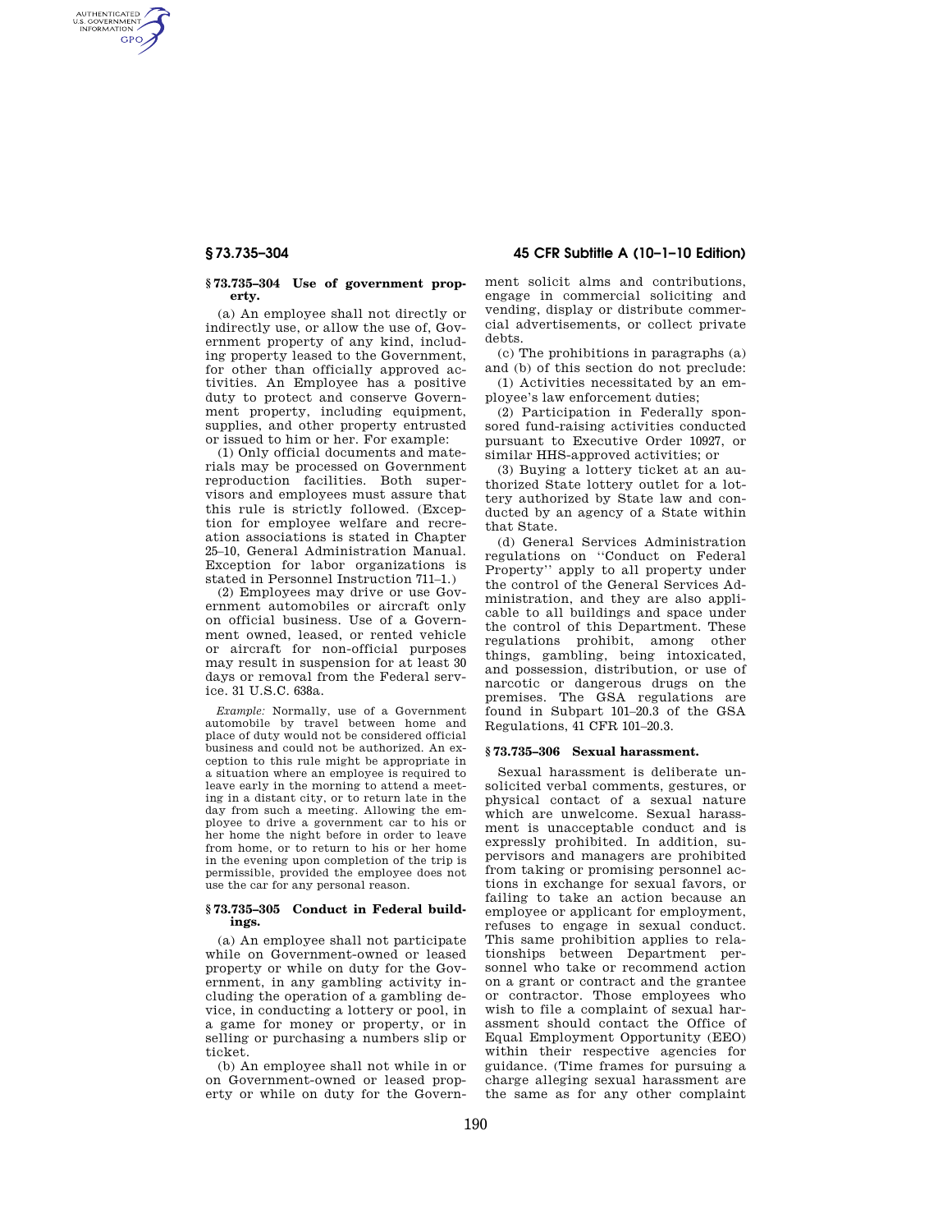AUTHENTICATED<br>U.S. GOVERNMENT<br>INFORMATION **GPO** 

#### **§ 73.735–304 Use of government property.**

(a) An employee shall not directly or indirectly use, or allow the use of, Government property of any kind, including property leased to the Government, for other than officially approved activities. An Employee has a positive duty to protect and conserve Government property, including equipment, supplies, and other property entrusted or issued to him or her. For example:

(1) Only official documents and materials may be processed on Government reproduction facilities. Both supervisors and employees must assure that this rule is strictly followed. (Exception for employee welfare and recreation associations is stated in Chapter 25–10, General Administration Manual. Exception for labor organizations is stated in Personnel Instruction 711–1.)

(2) Employees may drive or use Government automobiles or aircraft only on official business. Use of a Government owned, leased, or rented vehicle or aircraft for non-official purposes may result in suspension for at least 30 days or removal from the Federal service. 31 U.S.C. 638a.

*Example:* Normally, use of a Government automobile by travel between home and place of duty would not be considered official business and could not be authorized. An exception to this rule might be appropriate in a situation where an employee is required to leave early in the morning to attend a meeting in a distant city, or to return late in the day from such a meeting. Allowing the employee to drive a government car to his or her home the night before in order to leave from home, or to return to his or her home in the evening upon completion of the trip is permissible, provided the employee does not use the car for any personal reason.

## **§ 73.735–305 Conduct in Federal buildings.**

(a) An employee shall not participate while on Government-owned or leased property or while on duty for the Government, in any gambling activity including the operation of a gambling device, in conducting a lottery or pool, in a game for money or property, or in selling or purchasing a numbers slip or ticket.

(b) An employee shall not while in or on Government-owned or leased property or while on duty for the Govern-

**§ 73.735–304 45 CFR Subtitle A (10–1–10 Edition)** 

ment solicit alms and contributions, engage in commercial soliciting and vending, display or distribute commercial advertisements, or collect private debts.

(c) The prohibitions in paragraphs (a) and (b) of this section do not preclude:

(1) Activities necessitated by an employee's law enforcement duties;

(2) Participation in Federally sponsored fund-raising activities conducted pursuant to Executive Order 10927, or similar HHS-approved activities; or

(3) Buying a lottery ticket at an authorized State lottery outlet for a lottery authorized by State law and conducted by an agency of a State within that State.

(d) General Services Administration regulations on ''Conduct on Federal Property'' apply to all property under the control of the General Services Administration, and they are also applicable to all buildings and space under the control of this Department. These regulations prohibit, among other things, gambling, being intoxicated, and possession, distribution, or use of narcotic or dangerous drugs on the premises. The GSA regulations are found in Subpart 101–20.3 of the GSA Regulations, 41 CFR 101–20.3.

## **§ 73.735–306 Sexual harassment.**

Sexual harassment is deliberate unsolicited verbal comments, gestures, or physical contact of a sexual nature which are unwelcome. Sexual harassment is unacceptable conduct and is expressly prohibited. In addition, supervisors and managers are prohibited from taking or promising personnel actions in exchange for sexual favors, or failing to take an action because an employee or applicant for employment, refuses to engage in sexual conduct. This same prohibition applies to relationships between Department personnel who take or recommend action on a grant or contract and the grantee or contractor. Those employees who wish to file a complaint of sexual harassment should contact the Office of Equal Employment Opportunity (EEO) within their respective agencies for guidance. (Time frames for pursuing a charge alleging sexual harassment are the same as for any other complaint